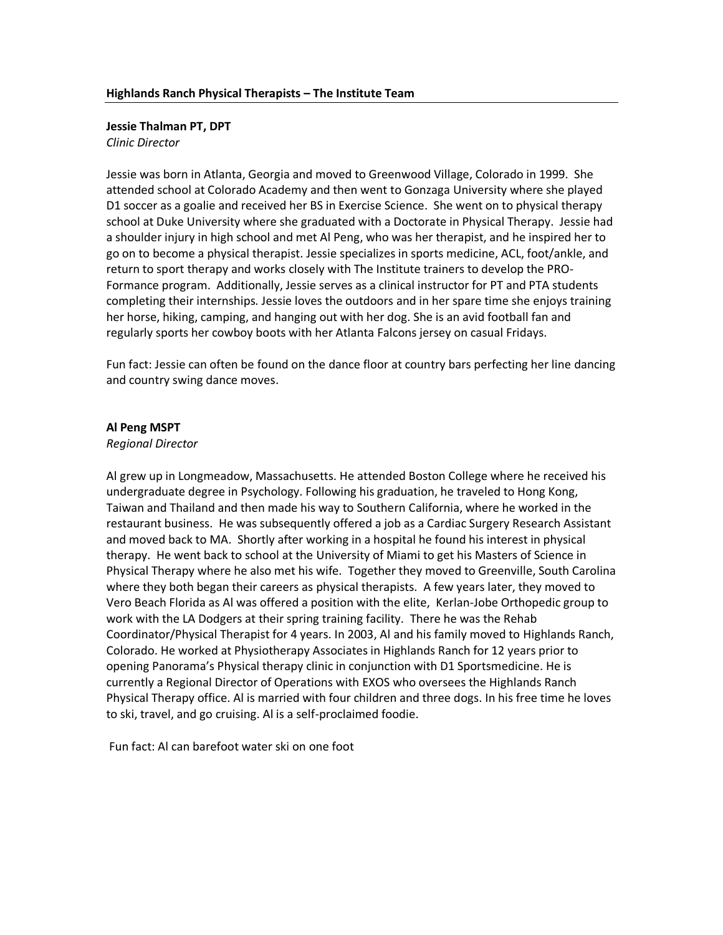## **Jessie Thalman PT, DPT**

*Clinic Director* 

Jessie was born in Atlanta, Georgia and moved to Greenwood Village, Colorado in 1999. She attended school at Colorado Academy and then went to Gonzaga University where she played D1 soccer as a goalie and received her BS in Exercise Science. She went on to physical therapy school at Duke University where she graduated with a Doctorate in Physical Therapy. Jessie had a shoulder injury in high school and met Al Peng, who was her therapist, and he inspired her to go on to become a physical therapist. Jessie specializes in sports medicine, ACL, foot/ankle, and return to sport therapy and works closely with The Institute trainers to develop the PRO-Formance program. Additionally, Jessie serves as a clinical instructor for PT and PTA students completing their internships. Jessie loves the outdoors and in her spare time she enjoys training her horse, hiking, camping, and hanging out with her dog. She is an avid football fan and regularly sports her cowboy boots with her Atlanta Falcons jersey on casual Fridays.

Fun fact: Jessie can often be found on the dance floor at country bars perfecting her line dancing and country swing dance moves.

#### **Al Peng MSPT**

#### *Regional Director*

Al grew up in Longmeadow, Massachusetts. He attended Boston College where he received his undergraduate degree in Psychology. Following his graduation, he traveled to Hong Kong, Taiwan and Thailand and then made his way to Southern California, where he worked in the restaurant business. He was subsequently offered a job as a Cardiac Surgery Research Assistant and moved back to MA. Shortly after working in a hospital he found his interest in physical therapy. He went back to school at the University of Miami to get his Masters of Science in Physical Therapy where he also met his wife. Together they moved to Greenville, South Carolina where they both began their careers as physical therapists. A few years later, they moved to Vero Beach Florida as Al was offered a position with the elite, Kerlan-Jobe Orthopedic group to work with the LA Dodgers at their spring training facility. There he was the Rehab Coordinator/Physical Therapist for 4 years. In 2003, Al and his family moved to Highlands Ranch, Colorado. He worked at Physiotherapy Associates in Highlands Ranch for 12 years prior to opening Panorama's Physical therapy clinic in conjunction with D1 Sportsmedicine. He is currently a Regional Director of Operations with EXOS who oversees the Highlands Ranch Physical Therapy office. Al is married with four children and three dogs. In his free time he loves to ski, travel, and go cruising. Al is a self-proclaimed foodie.

Fun fact: Al can barefoot water ski on one foot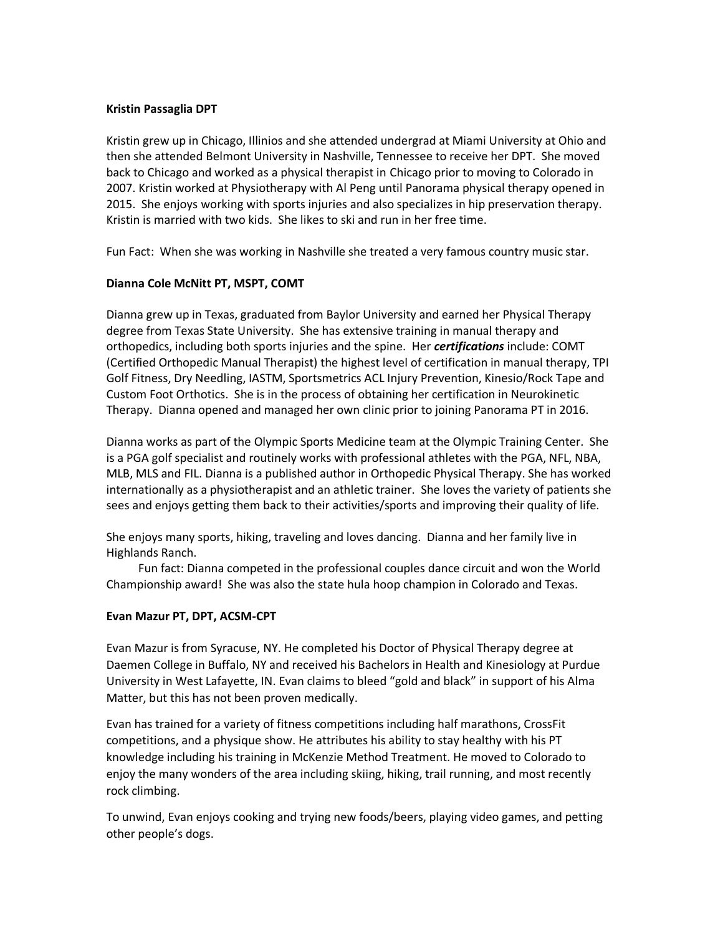## **Kristin Passaglia DPT**

Kristin grew up in Chicago, Illinios and she attended undergrad at Miami University at Ohio and then she attended Belmont University in Nashville, Tennessee to receive her DPT. She moved back to Chicago and worked as a physical therapist in Chicago prior to moving to Colorado in 2007. Kristin worked at Physiotherapy with Al Peng until Panorama physical therapy opened in 2015. She enjoys working with sports injuries and also specializes in hip preservation therapy. Kristin is married with two kids. She likes to ski and run in her free time.

Fun Fact: When she was working in Nashville she treated a very famous country music star.

# **Dianna Cole McNitt PT, MSPT, COMT**

Dianna grew up in Texas, graduated from Baylor University and earned her Physical Therapy degree from Texas State University. She has extensive training in manual therapy and orthopedics, including both sports injuries and the spine. Her *certifications* include: COMT (Certified Orthopedic Manual Therapist) the highest level of certification in manual therapy, TPI Golf Fitness, Dry Needling, IASTM, Sportsmetrics ACL Injury Prevention, Kinesio/Rock Tape and Custom Foot Orthotics. She is in the process of obtaining her certification in Neurokinetic Therapy. Dianna opened and managed her own clinic prior to joining Panorama PT in 2016.

Dianna works as part of the Olympic Sports Medicine team at the Olympic Training Center. She is a PGA golf specialist and routinely works with professional athletes with the PGA, NFL, NBA, MLB, MLS and FIL. Dianna is a published author in Orthopedic Physical Therapy. She has worked internationally as a physiotherapist and an athletic trainer. She loves the variety of patients she sees and enjoys getting them back to their activities/sports and improving their quality of life.

She enjoys many sports, hiking, traveling and loves dancing. Dianna and her family live in Highlands Ranch.

Fun fact: Dianna competed in the professional couples dance circuit and won the World Championship award! She was also the state hula hoop champion in Colorado and Texas.

# **Evan Mazur PT, DPT, ACSM-CPT**

Evan Mazur is from Syracuse, NY. He completed his Doctor of Physical Therapy degree at Daemen College in Buffalo, NY and received his Bachelors in Health and Kinesiology at Purdue University in West Lafayette, IN. Evan claims to bleed "gold and black" in support of his Alma Matter, but this has not been proven medically.

Evan has trained for a variety of fitness competitions including half marathons, CrossFit competitions, and a physique show. He attributes his ability to stay healthy with his PT knowledge including his training in McKenzie Method Treatment. He moved to Colorado to enjoy the many wonders of the area including skiing, hiking, trail running, and most recently rock climbing.

To unwind, Evan enjoys cooking and trying new foods/beers, playing video games, and petting other people's dogs.